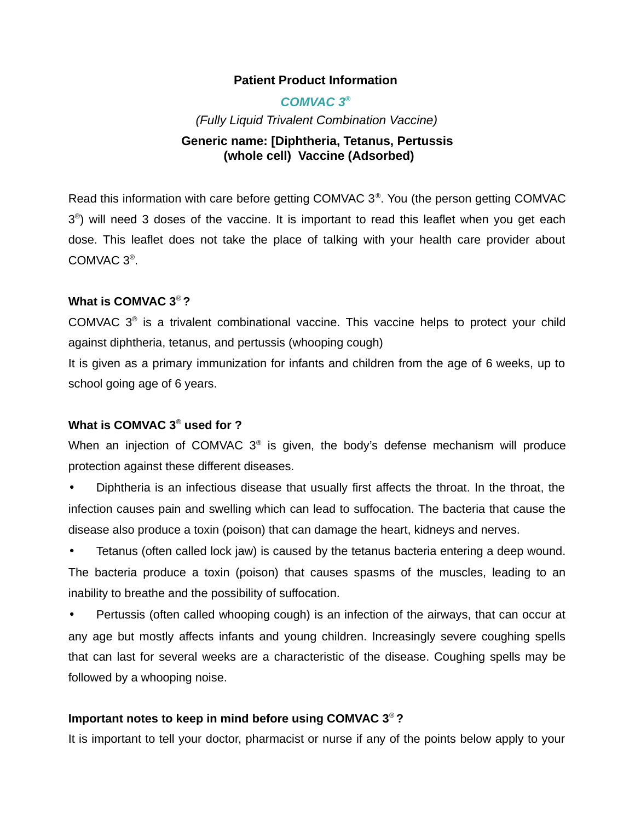## **Patient Product Information**

# *COMVAC 3***®** *(Fully Liquid Trivalent Combination Vaccine)*

# **Generic name: [Diphtheria, Tetanus, Pertussis (whole cell) Vaccine (Adsorbed)**

Read this information with care before getting COMVAC 3® . You (the person getting COMVAC  $3<sup>®</sup>$ ) will need 3 doses of the vaccine. It is important to read this leaflet when you get each dose. This leaflet does not take the place of talking with your health care provider about COMVAC 3® .

## **What is COMVAC 3**® **?**

COMVAC 3® is a trivalent combinational vaccine. This vaccine helps to protect your child against diphtheria, tetanus, and pertussis (whooping cough)

It is given as a primary immunization for infants and children from the age of 6 weeks, up to school going age of 6 years.

# **What is COMVAC 3**®  **used for ?**

When an injection of COMVAC  $3^{\circ}$  is given, the body's defense mechanism will produce protection against these different diseases.

Diphtheria is an infectious disease that usually first affects the throat. In the throat, the infection causes pain and swelling which can lead to suffocation. The bacteria that cause the disease also produce a toxin (poison) that can damage the heart, kidneys and nerves.

• Tetanus (often called lock jaw) is caused by the tetanus bacteria entering a deep wound. The bacteria produce a toxin (poison) that causes spasms of the muscles, leading to an inability to breathe and the possibility of suffocation.

• Pertussis (often called whooping cough) is an infection of the airways, that can occur at any age but mostly affects infants and young children. Increasingly severe coughing spells that can last for several weeks are a characteristic of the disease. Coughing spells may be followed by a whooping noise.

# **Important notes to keep in mind before using COMVAC 3**® **?**

It is important to tell your doctor, pharmacist or nurse if any of the points below apply to your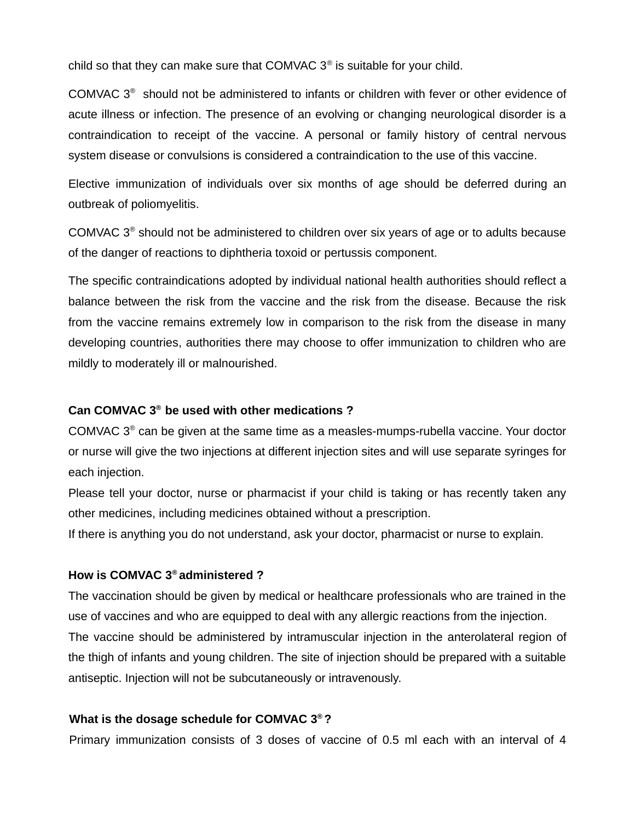child so that they can make sure that COMVAC  $3<sup>®</sup>$  is suitable for your child.

COMVAC  $3<sup>®</sup>$  should not be administered to infants or children with fever or other evidence of acute illness or infection. The presence of an evolving or changing neurological disorder is a contraindication to receipt of the vaccine. A personal or family history of central nervous system disease or convulsions is considered a contraindication to the use of this vaccine.

Elective immunization of individuals over six months of age should be deferred during an outbreak of poliomyelitis.

COMVAC  $3<sup>®</sup>$  should not be administered to children over six years of age or to adults because of the danger of reactions to diphtheria toxoid or pertussis component.

The specific contraindications adopted by individual national health authorities should reflect a balance between the risk from the vaccine and the risk from the disease. Because the risk from the vaccine remains extremely low in comparison to the risk from the disease in many developing countries, authorities there may choose to offer immunization to children who are mildly to moderately ill or malnourished.

## **Can COMVAC 3® be used with other medications ?**

COMVAC  $3<sup>®</sup>$  can be given at the same time as a measles-mumps-rubella vaccine. Your doctor or nurse will give the two injections at different injection sites and will use separate syringes for each injection.

Please tell your doctor, nurse or pharmacist if your child is taking or has recently taken any other medicines, including medicines obtained without a prescription.

If there is anything you do not understand, ask your doctor, pharmacist or nurse to explain.

#### **How is COMVAC 3® administered ?**

The vaccination should be given by medical or healthcare professionals who are trained in the use of vaccines and who are equipped to deal with any allergic reactions from the injection. The vaccine should be administered by intramuscular injection in the anterolateral region of the thigh of infants and young children. The site of injection should be prepared with a suitable antiseptic. Injection will not be subcutaneously or intravenously.

#### **What is the dosage schedule for COMVAC 3® ?**

Primary immunization consists of 3 doses of vaccine of 0.5 ml each with an interval of 4